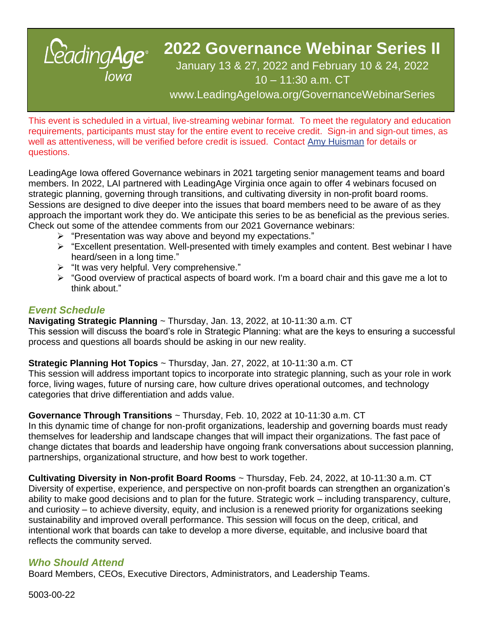

# **2022 Governance Webinar Series II**

# January 13 & 27, 2022 and February 10 & 24, 2022 10 – 11:30 a.m. CT

www.LeadingAgeIowa.org/GovernanceWebinarSeries

This event is scheduled in a virtual, live-streaming webinar format. To meet the regulatory and education requirements, participants must stay for the entire event to receive credit. Sign-in and sign-out times, as well as attentiveness, will be verified before credit is issued. Contact Amy Huisman for details or questions.

LeadingAge Iowa offered Governance webinars in 2021 targeting senior management teams and board members. In 2022, LAI partnered with LeadingAge Virginia once again to offer 4 webinars focused on strategic planning, governing through transitions, and cultivating diversity in non-profit board rooms. Sessions are designed to dive deeper into the issues that board members need to be aware of as they approach the important work they do. We anticipate this series to be as beneficial as the previous series. Check out some of the attendee comments from our 2021 Governance webinars:

- ➢ "Presentation was way above and beyond my expectations."
- ➢ "Excellent presentation. Well-presented with timely examples and content. Best webinar I have heard/seen in a long time."
- ➢ "It was very helpful. Very comprehensive."
- ➢ "Good overview of practical aspects of board work. I'm a board chair and this gave me a lot to think about."

# *Event Schedule*

**Navigating Strategic Planning** ~ Thursday, Jan. 13, 2022, at 10-11:30 a.m. CT This session will discuss the board's role in Strategic Planning: what are the keys to ensuring a successful process and questions all boards should be asking in our new reality.

**Strategic Planning Hot Topics** ~ Thursday, Jan. 27, 2022, at 10-11:30 a.m. CT

This session will address important topics to incorporate into strategic planning, such as your role in work force, living wages, future of nursing care, how culture drives operational outcomes, and technology categories that drive differentiation and adds value.

**Governance Through Transitions** ~ Thursday, Feb. 10, 2022 at 10-11:30 a.m. CT

In this dynamic time of change for non-profit organizations, leadership and governing boards must ready themselves for leadership and landscape changes that will impact their organizations. The fast pace of change dictates that boards and leadership have ongoing frank conversations about succession planning, partnerships, organizational structure, and how best to work together.

**Cultivating Diversity in Non-profit Board Rooms** ~ Thursday, Feb. 24, 2022, at 10-11:30 a.m. CT Diversity of expertise, experience, and perspective on non-profit boards can strengthen an organization's ability to make good decisions and to plan for the future. Strategic work – including transparency, culture, and curiosity – to achieve diversity, equity, and inclusion is a renewed priority for organizations seeking sustainability and improved overall performance. This session will focus on the deep, critical, and intentional work that boards can take to develop a more diverse, equitable, and inclusive board that reflects the community served.

## *Who Should Attend*

Board Members, CEOs, Executive Directors, Administrators, and Leadership Teams.

5003-00-22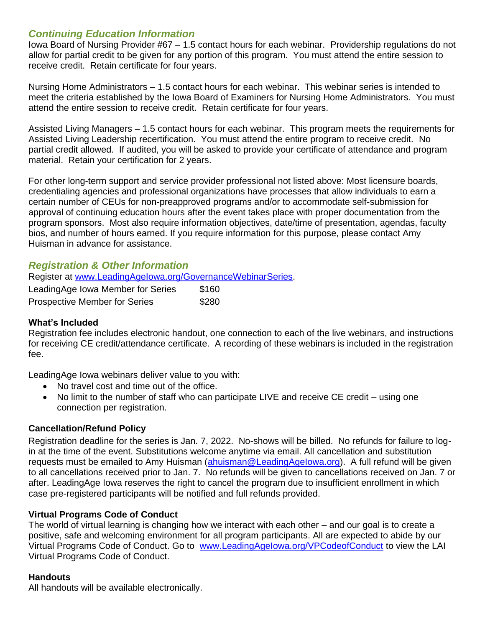## *Continuing Education Information*

Iowa Board of Nursing Provider #67 – 1.5 contact hours for each webinar. Providership regulations do not allow for partial credit to be given for any portion of this program. You must attend the entire session to receive credit. Retain certificate for four years.

Nursing Home Administrators – 1.5 contact hours for each webinar. This webinar series is intended to meet the criteria established by the Iowa Board of Examiners for Nursing Home Administrators. You must attend the entire session to receive credit. Retain certificate for four years.

Assisted Living Managers **–** 1.5 contact hours for each webinar. This program meets the requirements for Assisted Living Leadership recertification. You must attend the entire program to receive credit. No partial credit allowed. If audited, you will be asked to provide your certificate of attendance and program material. Retain your certification for 2 years.

For other long-term support and service provider professional not listed above: Most licensure boards, credentialing agencies and professional organizations have processes that allow individuals to earn a certain number of CEUs for non-preapproved programs and/or to accommodate self-submission for approval of continuing education hours after the event takes place with proper documentation from the program sponsors. Most also require information objectives, date/time of presentation, agendas, faculty bios, and number of hours earned. If you require information for this purpose, please contact Amy Huisman in advance for assistance.

## *Registration & Other Information*

Register at [www.LeadingAgeIowa.org/GovernanceWebinarSeries.](http://www.leadingageiowa.org/GovernanceWebinarSeries)

| LeadingAge Iowa Member for Series    | \$160 |
|--------------------------------------|-------|
| <b>Prospective Member for Series</b> | \$280 |

#### **What's Included**

Registration fee includes electronic handout, one connection to each of the live webinars, and instructions for receiving CE credit/attendance certificate. A recording of these webinars is included in the registration fee.

LeadingAge Iowa webinars deliver value to you with:

- No travel cost and time out of the office.
- No limit to the number of staff who can participate LIVE and receive CE credit using one connection per registration.

#### **Cancellation/Refund Policy**

Registration deadline for the series is Jan. 7, 2022. No-shows will be billed. No refunds for failure to login at the time of the event. Substitutions welcome anytime via email. All cancellation and substitution requests must be emailed to Amy Huisman (ahuisman@LeadingAgelowa.org). A full refund will be given to all cancellations received prior to Jan. 7. No refunds will be given to cancellations received on Jan. 7 or after. LeadingAge Iowa reserves the right to cancel the program due to insufficient enrollment in which case pre-registered participants will be notified and full refunds provided.

#### **Virtual Programs Code of Conduct**

The world of virtual learning is changing how we interact with each other – and our goal is to create a positive, safe and welcoming environment for all program participants. All are expected to abide by our Virtual Programs Code of Conduct. Go to [www.LeadingAgeIowa.org/VPCodeofConduct](http://www.leadingageiowa.org/VPCodeofConduct) to view the LAI Virtual Programs Code of Conduct.

#### **Handouts**

All handouts will be available electronically.